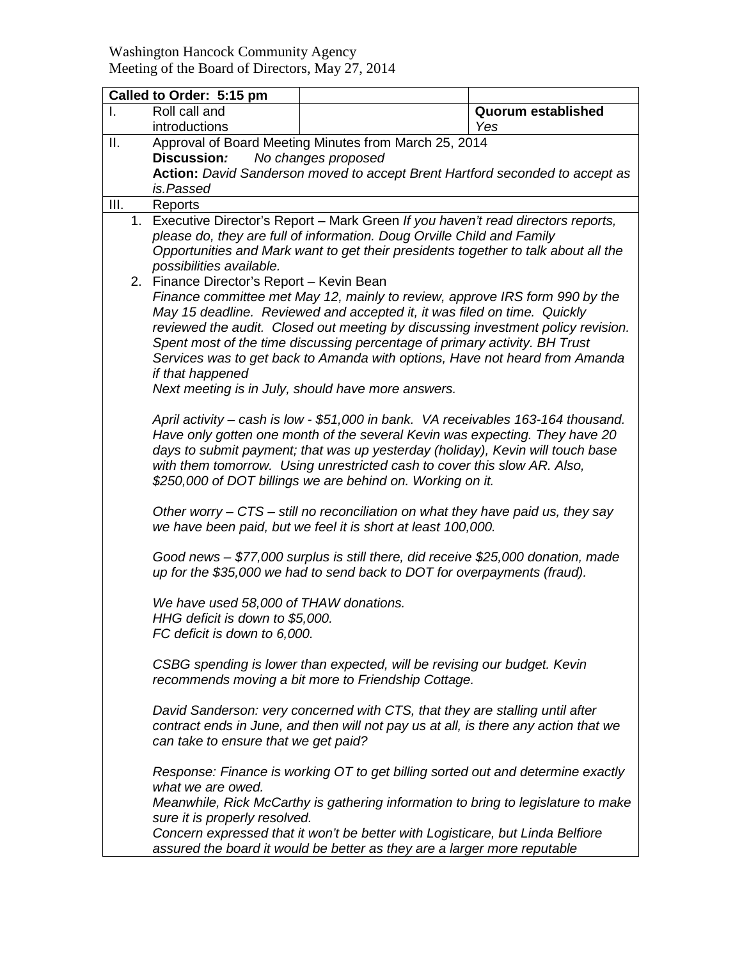## Washington Hancock Community Agency Meeting of the Board of Directors, May 27, 2014

|      | Called to Order: 5:15 pm                                                                                                                                                                                                                                                                                                                                                                                                                                                                                                        |                                                                                                                                                                     |                                  |  |  |
|------|---------------------------------------------------------------------------------------------------------------------------------------------------------------------------------------------------------------------------------------------------------------------------------------------------------------------------------------------------------------------------------------------------------------------------------------------------------------------------------------------------------------------------------|---------------------------------------------------------------------------------------------------------------------------------------------------------------------|----------------------------------|--|--|
|      | Roll call and<br>introductions                                                                                                                                                                                                                                                                                                                                                                                                                                                                                                  |                                                                                                                                                                     | <b>Quorum established</b><br>Yes |  |  |
| ΙΙ.  | Discussion:                                                                                                                                                                                                                                                                                                                                                                                                                                                                                                                     | Approval of Board Meeting Minutes from March 25, 2014<br>No changes proposed                                                                                        |                                  |  |  |
|      | Action: David Sanderson moved to accept Brent Hartford seconded to accept as<br>is.Passed                                                                                                                                                                                                                                                                                                                                                                                                                                       |                                                                                                                                                                     |                                  |  |  |
| III. | Reports                                                                                                                                                                                                                                                                                                                                                                                                                                                                                                                         |                                                                                                                                                                     |                                  |  |  |
|      | 1. Executive Director's Report - Mark Green If you haven't read directors reports,<br>please do, they are full of information. Doug Orville Child and Family<br>Opportunities and Mark want to get their presidents together to talk about all the<br>possibilities available.                                                                                                                                                                                                                                                  |                                                                                                                                                                     |                                  |  |  |
|      | 2. Finance Director's Report - Kevin Bean<br>Finance committee met May 12, mainly to review, approve IRS form 990 by the<br>May 15 deadline. Reviewed and accepted it, it was filed on time. Quickly<br>reviewed the audit. Closed out meeting by discussing investment policy revision.<br>Spent most of the time discussing percentage of primary activity. BH Trust<br>Services was to get back to Amanda with options, Have not heard from Amanda<br>if that happened<br>Next meeting is in July, should have more answers. |                                                                                                                                                                     |                                  |  |  |
|      | April activity – cash is low - \$51,000 in bank. VA receivables 163-164 thousand.<br>Have only gotten one month of the several Kevin was expecting. They have 20<br>days to submit payment; that was up yesterday (holiday), Kevin will touch base<br>with them tomorrow. Using unrestricted cash to cover this slow AR. Also,<br>\$250,000 of DOT billings we are behind on. Working on it.                                                                                                                                    |                                                                                                                                                                     |                                  |  |  |
|      | Other worry – CTS – still no reconciliation on what they have paid us, they say<br>we have been paid, but we feel it is short at least 100,000.                                                                                                                                                                                                                                                                                                                                                                                 |                                                                                                                                                                     |                                  |  |  |
|      |                                                                                                                                                                                                                                                                                                                                                                                                                                                                                                                                 | Good news - \$77,000 surplus is still there, did receive \$25,000 donation, made<br>up for the \$35,000 we had to send back to DOT for overpayments (fraud).        |                                  |  |  |
|      | FC deficit is down to 6,000.                                                                                                                                                                                                                                                                                                                                                                                                                                                                                                    | We have used 58,000 of THAW donations.<br>HHG deficit is down to \$5,000.                                                                                           |                                  |  |  |
|      | CSBG spending is lower than expected, will be revising our budget. Kevin<br>recommends moving a bit more to Friendship Cottage.                                                                                                                                                                                                                                                                                                                                                                                                 |                                                                                                                                                                     |                                  |  |  |
|      | can take to ensure that we get paid?                                                                                                                                                                                                                                                                                                                                                                                                                                                                                            | David Sanderson: very concerned with CTS, that they are stalling until after<br>contract ends in June, and then will not pay us at all, is there any action that we |                                  |  |  |
|      | what we are owed.                                                                                                                                                                                                                                                                                                                                                                                                                                                                                                               | Response: Finance is working OT to get billing sorted out and determine exactly                                                                                     |                                  |  |  |
|      | sure it is properly resolved.                                                                                                                                                                                                                                                                                                                                                                                                                                                                                                   | Meanwhile, Rick McCarthy is gathering information to bring to legislature to make                                                                                   |                                  |  |  |
|      | Concern expressed that it won't be better with Logisticare, but Linda Belfiore<br>assured the board it would be better as they are a larger more reputable                                                                                                                                                                                                                                                                                                                                                                      |                                                                                                                                                                     |                                  |  |  |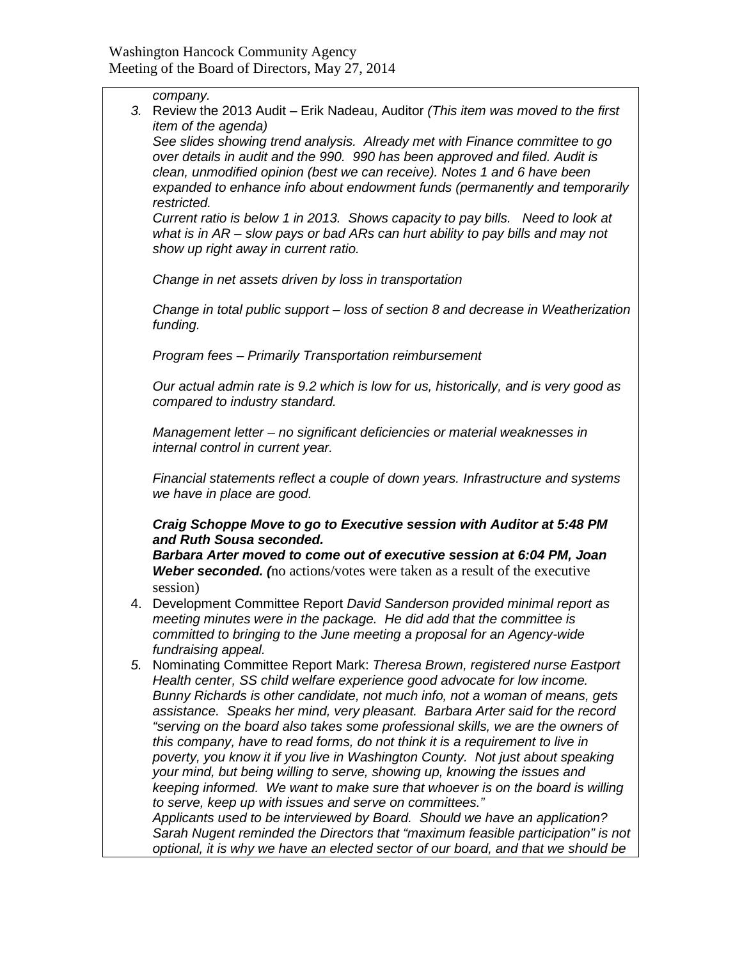| 3. | company.<br>Review the 2013 Audit – Erik Nadeau, Auditor (This item was moved to the first                                                                                                                                              |  |  |  |
|----|-----------------------------------------------------------------------------------------------------------------------------------------------------------------------------------------------------------------------------------------|--|--|--|
|    | <i>item of the agenda)</i>                                                                                                                                                                                                              |  |  |  |
|    | See slides showing trend analysis. Already met with Finance committee to go<br>over details in audit and the 990. 990 has been approved and filed. Audit is<br>clean, unmodified opinion (best we can receive). Notes 1 and 6 have been |  |  |  |
|    | expanded to enhance info about endowment funds (permanently and temporarily<br>restricted.                                                                                                                                              |  |  |  |
|    | Current ratio is below 1 in 2013. Shows capacity to pay bills. Need to look at<br>what is in $AR -$ slow pays or bad $ARS$ can hurt ability to pay bills and may not<br>show up right away in current ratio.                            |  |  |  |
|    | Change in net assets driven by loss in transportation                                                                                                                                                                                   |  |  |  |
|    | Change in total public support – loss of section 8 and decrease in Weatherization<br>funding.                                                                                                                                           |  |  |  |
|    | Program fees - Primarily Transportation reimbursement                                                                                                                                                                                   |  |  |  |
|    | Our actual admin rate is 9.2 which is low for us, historically, and is very good as<br>compared to industry standard.                                                                                                                   |  |  |  |
|    | Management letter - no significant deficiencies or material weaknesses in<br>internal control in current year.                                                                                                                          |  |  |  |
|    | Financial statements reflect a couple of down years. Infrastructure and systems<br>we have in place are good.                                                                                                                           |  |  |  |
|    | Craig Schoppe Move to go to Executive session with Auditor at 5:48 PM<br>and Ruth Sousa seconded.                                                                                                                                       |  |  |  |
|    | Barbara Arter moved to come out of executive session at 6:04 PM, Joan<br><b>Weber seconded.</b> (no actions/votes were taken as a result of the executive                                                                               |  |  |  |
|    | session)                                                                                                                                                                                                                                |  |  |  |
| 4. | Development Committee Report David Sanderson provided minimal report as<br>meeting minutes were in the package. He did add that the committee is<br>committed to bringing to the June meeting a proposal for an Agency-wide             |  |  |  |
| 5. | fundraising appeal.<br>Nominating Committee Report Mark: Theresa Brown, registered nurse Eastport                                                                                                                                       |  |  |  |
|    | Health center, SS child welfare experience good advocate for low income.<br>Bunny Richards is other candidate, not much info, not a woman of means, gets                                                                                |  |  |  |
|    | assistance. Speaks her mind, very pleasant. Barbara Arter said for the record<br>"serving on the board also takes some professional skills, we are the owners of                                                                        |  |  |  |
|    | this company, have to read forms, do not think it is a requirement to live in<br>poverty, you know it if you live in Washington County. Not just about speaking                                                                         |  |  |  |
|    | your mind, but being willing to serve, showing up, knowing the issues and<br>keeping informed. We want to make sure that whoever is on the board is willing                                                                             |  |  |  |
|    | to serve, keep up with issues and serve on committees."                                                                                                                                                                                 |  |  |  |
|    | Applicants used to be interviewed by Board. Should we have an application?                                                                                                                                                              |  |  |  |
|    | Sarah Nugent reminded the Directors that "maximum feasible participation" is not                                                                                                                                                        |  |  |  |
|    | optional, it is why we have an elected sector of our board, and that we should be                                                                                                                                                       |  |  |  |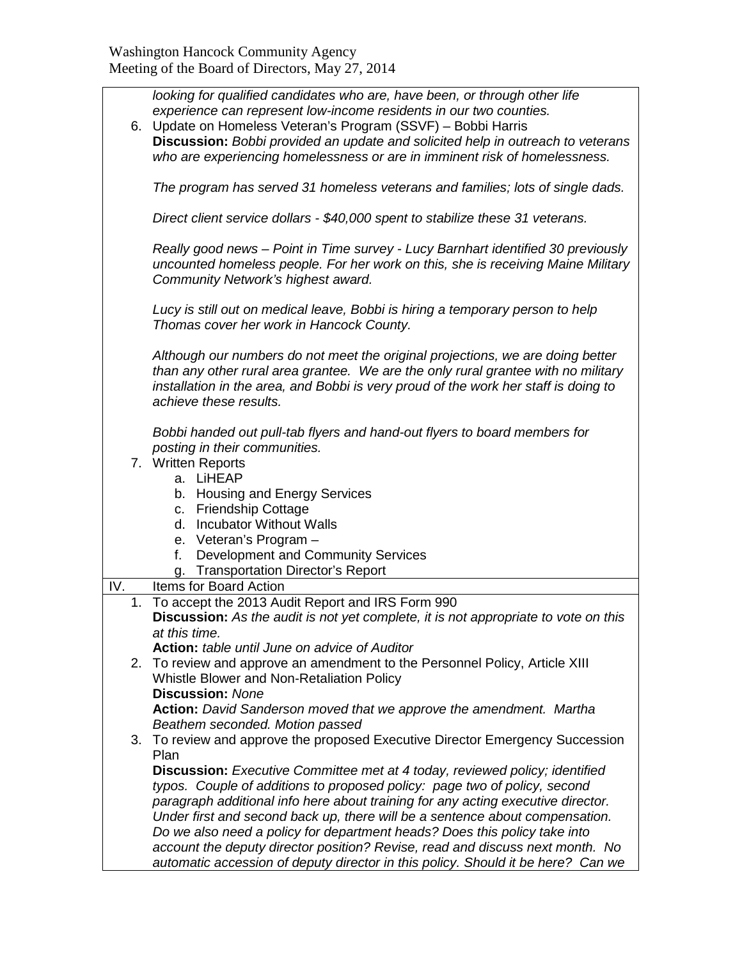|                                                                    | looking for qualified candidates who are, have been, or through other life          |  |  |
|--------------------------------------------------------------------|-------------------------------------------------------------------------------------|--|--|
| experience can represent low-income residents in our two counties. |                                                                                     |  |  |
|                                                                    | 6. Update on Homeless Veteran's Program (SSVF) - Bobbi Harris                       |  |  |
|                                                                    | Discussion: Bobbi provided an update and solicited help in outreach to veterans     |  |  |
|                                                                    | who are experiencing homelessness or are in imminent risk of homelessness.          |  |  |
|                                                                    |                                                                                     |  |  |
|                                                                    | The program has served 31 homeless veterans and families; lots of single dads.      |  |  |
|                                                                    |                                                                                     |  |  |
|                                                                    | Direct client service dollars - \$40,000 spent to stabilize these 31 veterans.      |  |  |
|                                                                    |                                                                                     |  |  |
|                                                                    | Really good news - Point in Time survey - Lucy Barnhart identified 30 previously    |  |  |
|                                                                    | uncounted homeless people. For her work on this, she is receiving Maine Military    |  |  |
|                                                                    | Community Network's highest award.                                                  |  |  |
|                                                                    |                                                                                     |  |  |
|                                                                    | Lucy is still out on medical leave, Bobbi is hiring a temporary person to help      |  |  |
|                                                                    | Thomas cover her work in Hancock County.                                            |  |  |
|                                                                    | Although our numbers do not meet the original projections, we are doing better      |  |  |
|                                                                    | than any other rural area grantee. We are the only rural grantee with no military   |  |  |
|                                                                    | installation in the area, and Bobbi is very proud of the work her staff is doing to |  |  |
|                                                                    | achieve these results.                                                              |  |  |
|                                                                    |                                                                                     |  |  |
|                                                                    | Bobbi handed out pull-tab flyers and hand-out flyers to board members for           |  |  |
|                                                                    | posting in their communities.                                                       |  |  |
|                                                                    | 7. Written Reports                                                                  |  |  |
|                                                                    | a. LiHEAP                                                                           |  |  |
|                                                                    | b. Housing and Energy Services                                                      |  |  |
|                                                                    | c. Friendship Cottage                                                               |  |  |
|                                                                    | d. Incubator Without Walls                                                          |  |  |
|                                                                    | e. Veteran's Program -                                                              |  |  |
|                                                                    | Development and Community Services<br>f.                                            |  |  |
|                                                                    | g. Transportation Director's Report                                                 |  |  |
| IV.                                                                | Items for Board Action                                                              |  |  |
| 1.                                                                 | To accept the 2013 Audit Report and IRS Form 990                                    |  |  |
|                                                                    | Discussion: As the audit is not yet complete, it is not appropriate to vote on this |  |  |
|                                                                    | at this time.<br><b>Action:</b> table until June on advice of Auditor               |  |  |
| 2.                                                                 | To review and approve an amendment to the Personnel Policy, Article XIII            |  |  |
|                                                                    | Whistle Blower and Non-Retaliation Policy                                           |  |  |
|                                                                    | <b>Discussion: None</b>                                                             |  |  |
|                                                                    | Action: David Sanderson moved that we approve the amendment. Martha                 |  |  |
| Beathem seconded. Motion passed                                    |                                                                                     |  |  |
|                                                                    | 3. To review and approve the proposed Executive Director Emergency Succession       |  |  |
|                                                                    | Plan                                                                                |  |  |
|                                                                    | <b>Discussion:</b> Executive Committee met at 4 today, reviewed policy; identified  |  |  |
|                                                                    | typos. Couple of additions to proposed policy: page two of policy, second           |  |  |
|                                                                    | paragraph additional info here about training for any acting executive director.    |  |  |
|                                                                    | Under first and second back up, there will be a sentence about compensation.        |  |  |
|                                                                    | Do we also need a policy for department heads? Does this policy take into           |  |  |
|                                                                    | account the deputy director position? Revise, read and discuss next month. No       |  |  |
|                                                                    | automatic accession of deputy director in this policy. Should it be here? Can we    |  |  |